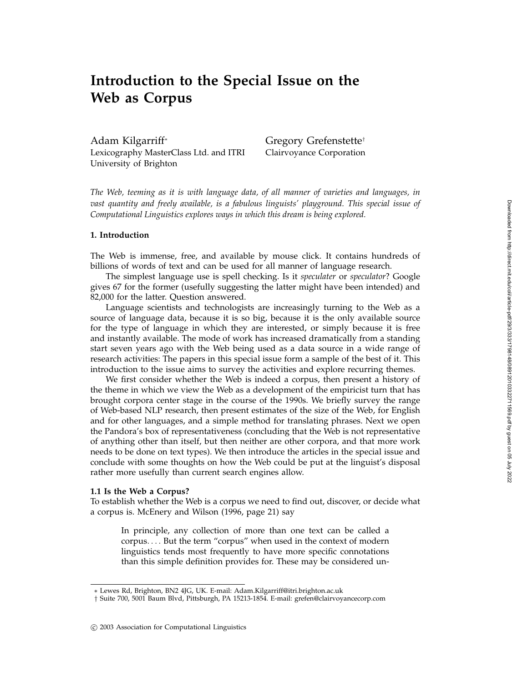# **Introduction to the Special Issue on the Web as Corpus**

Adam Kilgarriff<sup>∗</sup> Gregory Grefenstette<sup>†</sup> Lexicography MasterClass Ltd. and ITRI Clairvoyance Corporation University of Brighton

*The Web, teeming as it is with language data, of all manner of varieties and languages, in vast quantity and freely available, is a fabulous linguists' playground. This special issue of Computational Linguistics explores ways in which this dream is being explored.*

## **1. Introduction**

The Web is immense, free, and available by mouse click. It contains hundreds of billions of words of text and can be used for all manner of language research.

The simplest language use is spell checking. Is it *speculater* or *speculator*? Google gives 67 for the former (usefully suggesting the latter might have been intended) and 82,000 for the latter. Question answered.

Language scientists and technologists are increasingly turning to the Web as a source of language data, because it is so big, because it is the only available source for the type of language in which they are interested, or simply because it is free and instantly available. The mode of work has increased dramatically from a standing start seven years ago with the Web being used as a data source in a wide range of research activities: The papers in this special issue form a sample of the best of it. This introduction to the issue aims to survey the activities and explore recurring themes.

We first consider whether the Web is indeed a corpus, then present a history of the theme in which we view the Web as a development of the empiricist turn that has brought corpora center stage in the course of the 1990s. We briefly survey the range of Web-based NLP research, then present estimates of the size of the Web, for English and for other languages, and a simple method for translating phrases. Next we open the Pandora's box of representativeness (concluding that the Web is not representative of anything other than itself, but then neither are other corpora, and that more work needs to be done on text types). We then introduce the articles in the special issue and conclude with some thoughts on how the Web could be put at the linguist's disposal rather more usefully than current search engines allow.

#### **1.1 Is the Web a Corpus?**

To establish whether the Web is a corpus we need to find out, discover, or decide what a corpus is. McEnery and Wilson (1996, page 21) say

In principle, any collection of more than one text can be called a corpus.... But the term "corpus" when used in the context of modern linguistics tends most frequently to have more specific connotations than this simple definition provides for. These may be considered un-

<sup>∗</sup> Lewes Rd, Brighton, BN2 4JG, UK. E-mail: Adam.Kilgarriff@itri.brighton.ac.uk

<sup>†</sup> Suite 700, 5001 Baum Blvd, Pittsburgh, PA 15213-1854. E-mail: grefen@clairvoyancecorp.com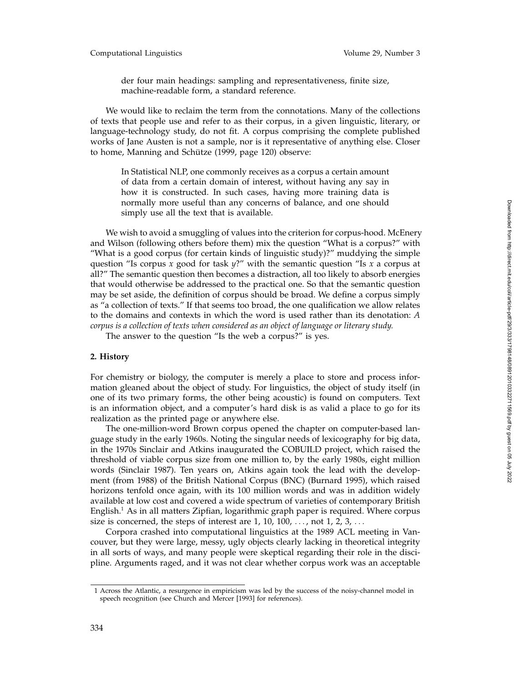Computational Linguistics Volume 29, Number 3

der four main headings: sampling and representativeness, finite size, machine-readable form, a standard reference.

We would like to reclaim the term from the connotations. Many of the collections of texts that people use and refer to as their corpus, in a given linguistic, literary, or language-technology study, do not fit. A corpus comprising the complete published works of Jane Austen is not a sample, nor is it representative of anything else. Closer to home, Manning and Schütze (1999, page 120) observe:

In Statistical NLP, one commonly receives as a corpus a certain amount of data from a certain domain of interest, without having any say in how it is constructed. In such cases, having more training data is normally more useful than any concerns of balance, and one should simply use all the text that is available.

We wish to avoid a smuggling of values into the criterion for corpus-hood. McEnery and Wilson (following others before them) mix the question "What is a corpus?" with "What is a good corpus (for certain kinds of linguistic study)?" muddying the simple question "Is corpus *x* good for task *y*?" with the semantic question "Is *x* a corpus at all?" The semantic question then becomes a distraction, all too likely to absorb energies that would otherwise be addressed to the practical one. So that the semantic question may be set aside, the definition of corpus should be broad. We define a corpus simply as "a collection of texts." If that seems too broad, the one qualification we allow relates to the domains and contexts in which the word is used rather than its denotation: *A corpus is a collection of texts when considered as an object of language or literary study.*

The answer to the question "Is the web a corpus?" is yes.

#### **2. History**

For chemistry or biology, the computer is merely a place to store and process information gleaned about the object of study. For linguistics, the object of study itself (in one of its two primary forms, the other being acoustic) is found on computers. Text is an information object, and a computer's hard disk is as valid a place to go for its realization as the printed page or anywhere else.

The one-million-word Brown corpus opened the chapter on computer-based language study in the early 1960s. Noting the singular needs of lexicography for big data, in the 1970s Sinclair and Atkins inaugurated the COBUILD project, which raised the threshold of viable corpus size from one million to, by the early 1980s, eight million words (Sinclair 1987). Ten years on, Atkins again took the lead with the development (from 1988) of the British National Corpus (BNC) (Burnard 1995), which raised horizons tenfold once again, with its 100 million words and was in addition widely available at low cost and covered a wide spectrum of varieties of contemporary British English. <sup>1</sup> As in all matters Zipfian, logarithmic graph paper is required. Where corpus size is concerned, the steps of interest are 1, 10, 100,  $\dots$ , not 1, 2, 3,  $\dots$ 

Corpora crashed into computational linguistics at the 1989 ACL meeting in Vancouver, but they were large, messy, ugly objects clearly lacking in theoretical integrity in all sorts of ways, and many people were skeptical regarding their role in the discipline. Arguments raged, and it was not clear whether corpus work was an acceptable

<sup>1</sup> Across the Atlantic, a resurgence in empiricism was led by the success of the noisy-channel model in speech recognition (see Church and Mercer [1993] for references).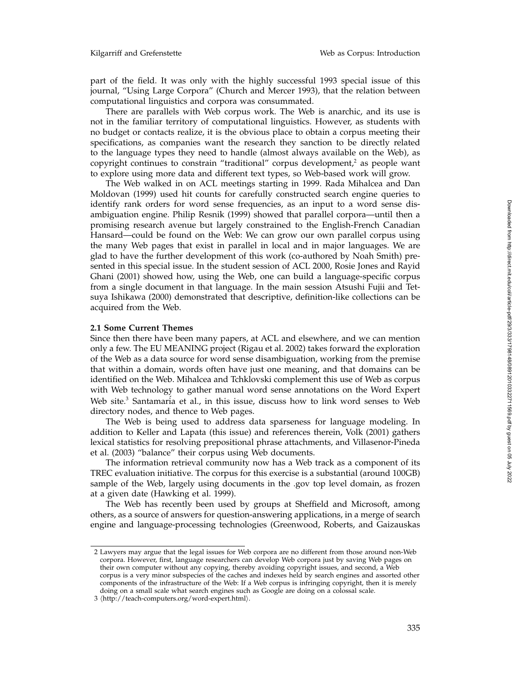part of the field. It was only with the highly successful 1993 special issue of this journal, "Using Large Corpora" (Church and Mercer 1993), that the relation between computational linguistics and corpora was consummated.

There are parallels with Web corpus work. The Web is anarchic, and its use is not in the familiar territory of computational linguistics. However, as students with no budget or contacts realize, it is the obvious place to obtain a corpus meeting their specifications, as companies want the research they sanction to be directly related to the language types they need to handle (almost always available on the Web), as copyright continues to constrain "traditional" corpus development, <sup>2</sup> as people want to explore using more data and different text types, so Web-based work will grow.

The Web walked in on ACL meetings starting in 1999. Rada Mihalcea and Dan Moldovan (1999) used hit counts for carefully constructed search engine queries to identify rank orders for word sense frequencies, as an input to a word sense disambiguation engine. Philip Resnik (1999) showed that parallel corpora—until then a promising research avenue but largely constrained to the English-French Canadian Hansard—could be found on the Web: We can grow our own parallel corpus using the many Web pages that exist in parallel in local and in major languages. We are glad to have the further development of this work (co-authored by Noah Smith) presented in this special issue. In the student session of ACL 2000, Rosie Jones and Rayid Ghani (2001) showed how, using the Web, one can build a language-specific corpus from a single document in that language. In the main session Atsushi Fujii and Tetsuya Ishikawa (2000) demonstrated that descriptive, definition-like collections can be acquired from the Web.

## **2.1 Some Current Themes**

Since then there have been many papers, at ACL and elsewhere, and we can mention only a few. The EU MEANING project (Rigau et al. 2002) takes forward the exploration of the Web as a data source for word sense disambiguation, working from the premise that within a domain, words often have just one meaning, and that domains can be identified on the Web. Mihalcea and Tchklovski complement this use of Web as corpus with Web technology to gather manual word sense annotations on the Word Expert Web site.<sup>3</sup> Santamaría et al., in this issue, discuss how to link word senses to Web directory nodes, and thence to Web pages.

The Web is being used to address data sparseness for language modeling. In addition to Keller and Lapata (this issue) and references therein, Volk (2001) gathers lexical statistics for resolving prepositional phrase attachments, and Villasenor-Pineda et al. (2003) "balance" their corpus using Web documents.

The information retrieval community now has a Web track as a component of its TREC evaluation initiative. The corpus for this exercise is a substantial (around 100GB) sample of the Web, largely using documents in the .gov top level domain, as frozen at a given date (Hawking et al. 1999).

The Web has recently been used by groups at Sheffield and Microsoft, among others, as a source of answers for question-answering applications, in a merge of search engine and language-processing technologies (Greenwood, Roberts, and Gaizauskas

<sup>2</sup> Lawyers may argue that the legal issues for Web corpora are no different from those around non-Web corpora. However, first, language researchers can develop Web corpora just by saving Web pages on their own computer without any copying, thereby avoiding copyright issues, and second, a Web corpus is a very minor subspecies of the caches and indexes held by search engines and assorted other components of the infrastructure of the Web: If a Web corpus is infringing copyright, then it is merely doing on a small scale what search engines such as Google are doing on a colossal scale.

<sup>3</sup> http://teach-computers.org/word-expert.html .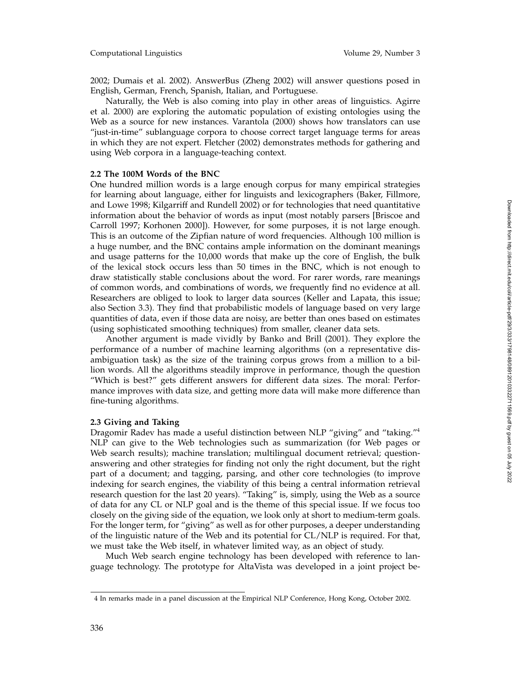2002; Dumais et al. 2002). AnswerBus (Zheng 2002) will answer questions posed in English, German, French, Spanish, Italian, and Portuguese.

Naturally, the Web is also coming into play in other areas of linguistics. Agirre et al. 2000) are exploring the automatic population of existing ontologies using the Web as a source for new instances. Varantola (2000) shows how translators can use "just-in-time" sublanguage corpora to choose correct target language terms for areas in which they are not expert. Fletcher (2002) demonstrates methods for gathering and using Web corpora in a language-teaching context.

### **2.2 The 100M Words of the BNC**

One hundred million words is a large enough corpus for many empirical strategies for learning about language, either for linguists and lexicographers (Baker, Fillmore, and Lowe 1998; Kilgarriff and Rundell 2002) or for technologies that need quantitative information about the behavior of words as input (most notably parsers [Briscoe and Carroll 1997; Korhonen 2000]). However, for some purposes, it is not large enough. This is an outcome of the Zipfian nature of word frequencies. Although 100 million is a huge number, and the BNC contains ample information on the dominant meanings and usage patterns for the 10,000 words that make up the core of English, the bulk of the lexical stock occurs less than 50 times in the BNC, which is not enough to draw statistically stable conclusions about the word. For rarer words, rare meanings of common words, and combinations of words, we frequently find no evidence at all. Researchers are obliged to look to larger data sources (Keller and Lapata, this issue; also Section 3.3). They find that probabilistic models of language based on very large quantities of data, even if those data are noisy, are better than ones based on estimates (using sophisticated smoothing techniques) from smaller, cleaner data sets.

Another argument is made vividly by Banko and Brill (2001). They explore the performance of a number of machine learning algorithms (on a representative disambiguation task) as the size of the training corpus grows from a million to a billion words. All the algorithms steadily improve in performance, though the question "Which is best?" gets different answers for different data sizes. The moral: Performance improves with data size, and getting more data will make more difference than fine-tuning algorithms.

## **2.3 Giving and Taking**

Dragomir Radev has made a useful distinction between NLP "giving" and "taking." 4 NLP can give to the Web technologies such as summarization (for Web pages or Web search results); machine translation; multilingual document retrieval; questionanswering and other strategies for finding not only the right document, but the right part of a document; and tagging, parsing, and other core technologies (to improve indexing for search engines, the viability of this being a central information retrieval research question for the last 20 years). "Taking" is, simply, using the Web as a source of data for any CL or NLP goal and is the theme of this special issue. If we focus too closely on the giving side of the equation, we look only at short to medium-term goals. For the longer term, for "giving" as well as for other purposes, a deeper understanding of the linguistic nature of the Web and its potential for CL/NLP is required. For that, we must take the Web itself, in whatever limited way, as an object of study.

Much Web search engine technology has been developed with reference to language technology. The prototype for AltaVista was developed in a joint project be-

<sup>4</sup> In remarks made in a panel discussion at the Empirical NLP Conference, Hong Kong, October 2002.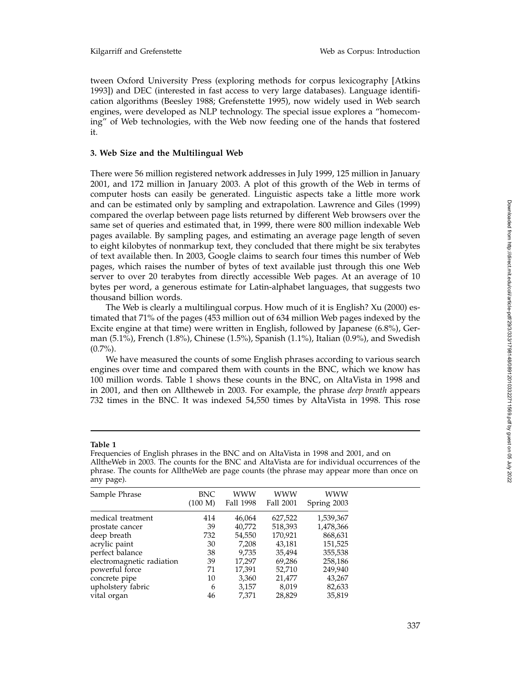tween Oxford University Press (exploring methods for corpus lexicography [Atkins 1993]) and DEC (interested in fast access to very large databases). Language identification algorithms (Beesley 1988; Grefenstette 1995), now widely used in Web search engines, were developed as NLP technology. The special issue explores a "homecoming" of Web technologies, with the Web now feeding one of the hands that fostered it.

# **3. Web Size and the Multilingual Web**

There were 56 million registered network addresses in July 1999, 125 million in January 2001, and 172 million in January 2003. A plot of this growth of the Web in terms of computer hosts can easily be generated. Linguistic aspects take a little more work and can be estimated only by sampling and extrapolation. Lawrence and Giles (1999) compared the overlap between page lists returned by different Web browsers over the same set of queries and estimated that, in 1999, there were 800 million indexable Web pages available. By sampling pages, and estimating an average page length of seven to eight kilobytes of nonmarkup text, they concluded that there might be six terabytes of text available then. In 2003, Google claims to search four times this number of Web pages, which raises the number of bytes of text available just through this one Web server to over 20 terabytes from directly accessible Web pages. At an average of 10 bytes per word, a generous estimate for Latin-alphabet languages, that suggests two thousand billion words.

The Web is clearly a multilingual corpus. How much of it is English? Xu (2000) estimated that 71% of the pages (453 million out of 634 million Web pages indexed by the Excite engine at that time) were written in English, followed by Japanese (6.8%), German (5.1%), French (1.8%), Chinese (1.5%), Spanish (1.1%), Italian (0.9%), and Swedish  $(0.7\%)$ .

We have measured the counts of some English phrases according to various search engines over time and compared them with counts in the BNC, which we know has 100 million words. Table 1 shows these counts in the BNC, on AltaVista in 1998 and in 2001, and then on Alltheweb in 2003. For example, the phrase *deep breath* appears 732 times in the BNC. It was indexed 54,550 times by AltaVista in 1998. This rose

#### **Table 1**

| $,$ $\mu_{\mathcal{D}}$                      |                |                         |                         |                           |
|----------------------------------------------|----------------|-------------------------|-------------------------|---------------------------|
| Sample Phrase                                | BNC<br>(100 M) | <b>WWW</b><br>Fall 1998 | <b>WWW</b><br>Fall 2001 | <b>WWW</b><br>Spring 2003 |
| medical treatment<br>prostate cancer         | 414<br>39      | 46,064<br>40,772        | 627,522<br>518,393      | 1,539,367<br>1,478,366    |
| deep breath                                  | 732            | 54,550                  | 170,921                 | 868,631                   |
| acrylic paint                                | 30             | 7,208                   | 43,181                  | 151,525                   |
| perfect balance<br>electromagnetic radiation | 38<br>39       | 9,735<br>17,297         | 35,494<br>69,286        | 355,538<br>258,186        |
| powerful force                               | 71             | 17,391                  | 52,710                  | 249,940                   |
| concrete pipe                                | 10             | 3,360                   | 21,477                  | 43,267                    |
| upholstery fabric                            | 6              | 3,157                   | 8,019                   | 82,633                    |
| vital organ                                  | 46             | 7,371                   | 28,829                  | 35,819                    |

Frequencies of English phrases in the BNC and on AltaVista in 1998 and 2001, and on AlltheWeb in 2003. The counts for the BNC and AltaVista are for individual occurrences of the phrase. The counts for AlltheWeb are page counts (the phrase may appear more than once on any page).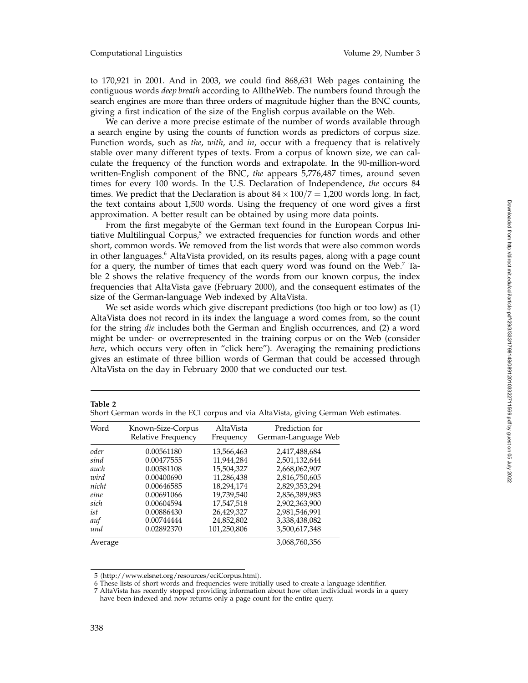to 170,921 in 2001. And in 2003, we could find 868,631 Web pages containing the contiguous words *deep breath* according to AlltheWeb. The numbers found through the search engines are more than three orders of magnitude higher than the BNC counts, giving a first indication of the size of the English corpus available on the Web.

We can derive a more precise estimate of the number of words available through a search engine by using the counts of function words as predictors of corpus size. Function words, such as *the* , *with*, and *in*, occur with a frequency that is relatively stable over many different types of texts. From a corpus of known size, we can calculate the frequency of the function words and extrapolate. In the 90-million-word written-English component of the BNC, *the* appears 5,776,487 times, around seven times for every 100 words. In the U.S. Declaration of Independence, *the* occurs 84 times. We predict that the Declaration is about  $84 \times 100/7 = 1,200$  words long. In fact, the text contains about 1,500 words. Using the frequency of one word gives a first approximation. A better result can be obtained by using more data points.

From the first megabyte of the German text found in the European Corpus Initiative Multilingual Corpus, $5$  we extracted frequencies for function words and other short, common words. We removed from the list words that were also common words in other languages. <sup>6</sup> AltaVista provided, on its results pages, along with a page count for a query, the number of times that each query word was found on the Web. <sup>7</sup> Table 2 shows the relative frequency of the words from our known corpus, the index frequencies that AltaVista gave (February 2000), and the consequent estimates of the size of the German-language Web indexed by AltaVista.

We set aside words which give discrepant predictions (too high or too low) as (1) AltaVista does not record in its index the language a word comes from, so the count for the string *die* includes both the German and English occurrences, and (2) a word might be under- or overrepresented in the training corpus or on the Web (consider *here*, which occurs very often in "click here"). Averaging the remaining predictions gives an estimate of three billion words of German that could be accessed through AltaVista on the day in February 2000 that we conducted our test.

| וכו<br>Ш |  |
|----------|--|
|----------|--|

|  |  |  |  |  | Short German words in the ECI corpus and via AltaVista, giving German Web estimates. |  |
|--|--|--|--|--|--------------------------------------------------------------------------------------|--|
|  |  |  |  |  |                                                                                      |  |

| Word    | Known-Size-Corpus<br>Relative Frequency | AltaVista<br>Frequency | Prediction for<br>German-Language Web |
|---------|-----------------------------------------|------------------------|---------------------------------------|
| oder    | 0.00561180                              | 13,566,463             | 2,417,488,684                         |
| sind    | 0.00477555                              | 11,944,284             | 2,501,132,644                         |
| auch    | 0.00581108                              | 15,504,327             | 2,668,062,907                         |
| wird    | 0.00400690                              | 11,286,438             | 2,816,750,605                         |
| nicht   | 0.00646585                              | 18,294,174             | 2,829,353,294                         |
| eine    | 0.00691066                              | 19,739,540             | 2,856,389,983                         |
| sich    | 0.00604594                              | 17,547,518             | 2,902,363,900                         |
| ist     | 0.00886430                              | 26,429,327             | 2,981,546,991                         |
| auf     | 0.00744444                              | 24,852,802             | 3,338,438,082                         |
| und     | 0.02892370                              | 101,250,806            | 3,500,617,348                         |
| Average |                                         |                        | 3,068,760,356                         |

<sup>5</sup> http://www.elsnet.org/resources/eciCorpus.html.

<sup>6</sup> These lists of short words and frequencies were initially used to create a language identifier.

<sup>7</sup> AltaVista has recently stopped providing information about how often individual words in a query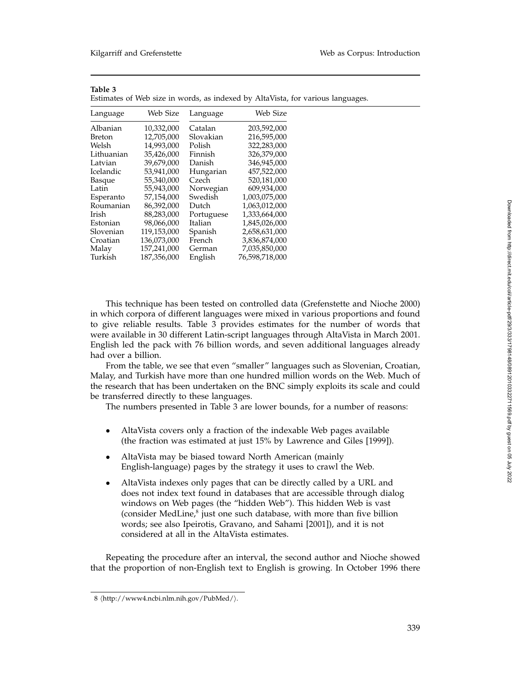| Language   | Web Size    | Language   | Web Size       |
|------------|-------------|------------|----------------|
| Albanian   | 10,332,000  | Catalan    | 203,592,000    |
| Breton     | 12,705,000  | Slovakian  | 216,595,000    |
| Welsh      | 14,993,000  | Polish     | 322,283,000    |
| Lithuanian | 35,426,000  | Finnish    | 326,379,000    |
| Latvian    | 39.679.000  | Danish     | 346.945.000    |
| Icelandic  | 53,941,000  | Hungarian  | 457,522,000    |
| Basque     | 55,340,000  | Czech      | 520,181,000    |
| Latin      | 55,943,000  | Norwegian  | 609,934,000    |
| Esperanto  | 57.154.000  | Swedish    | 1,003,075,000  |
| Roumanian  | 86,392,000  | Dutch      | 1,063,012,000  |
| Irish      | 88,283,000  | Portuguese | 1,333,664,000  |
| Estonian   | 98,066,000  | Italian    | 1,845,026,000  |
| Slovenian  | 119,153,000 | Spanish    | 2,658,631,000  |
| Croatian   | 136,073,000 | French     | 3,836,874,000  |
| Malay      | 157,241,000 | German     | 7,035,850,000  |
| Turkish    | 187,356,000 | English    | 76,598,718,000 |
|            |             |            |                |

| ۰,<br>×<br>×<br>٠ |
|-------------------|
|-------------------|

Estimates of Web size in words, as indexed by AltaVista, for various languages.

This technique has been tested on controlled data (Grefenstette and Nioche 2000) in which corpora of different languages were mixed in various proportions and found to give reliable results. Table 3 provides estimates for the number of words that were available in 30 different Latin-script languages through AltaVista in March 2001. English led the pack with 76 billion words, and seven additional languages already had over a billion.

From the table, we see that even "smaller" languages such as Slovenian, Croatian, Malay, and Turkish have more than one hundred million words on the Web. Much of the research that has been undertaken on the BNC simply exploits its scale and could be transferred directly to these languages.

The numbers presented in Table 3 are lower bounds, for a number of reasons:

- AltaVista covers only a fraction of the indexable Web pages available (the fraction was estimated at just 15% by Lawrence and Giles [1999]).
- AltaVista may be biased toward North American (mainly English-language) pages by the strategy it uses to crawl the Web.
- AltaVista indexes only pages that can be directly called by a URL and does not index text found in databases that are accessible through dialog windows on Web pages (the "hidden Web"). This hidden Web is vast (consider MedLine, $\delta$  just one such database, with more than five billion words; see also Ipeirotis, Gravano, and Sahami [2001]), and it is not considered at all in the AltaVista estimates.

Repeating the procedure after an interval, the second author and Nioche showed that the proportion of non-English text to English is growing. In October 1996 there

<sup>8</sup> http://www4.ncbi.nlm.nih.gov/PubMed/.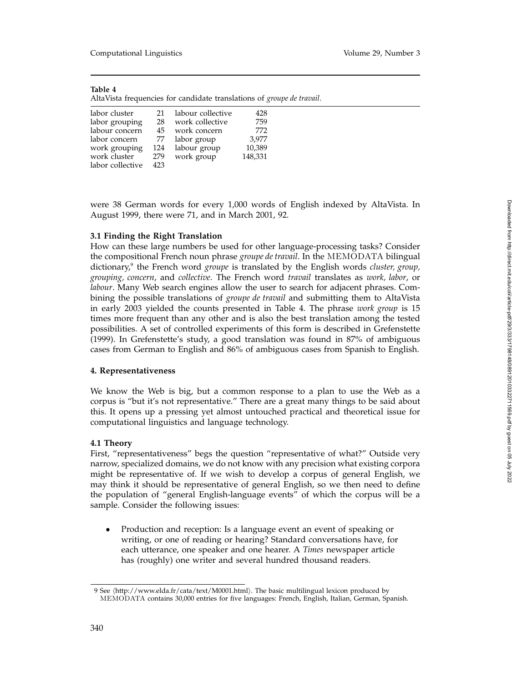#### **Table 4**

AltaVista frequencies for candidate translations of *groupe de travail*.

| labor cluster    | 21  | labour collective | 428     |
|------------------|-----|-------------------|---------|
| labor grouping   | 28  | work collective   | 759     |
| labour concern   | 45  | work concern      | 772     |
| labor concern    | 77  | labor group       | 3,977   |
| work grouping    | 124 | labour group      | 10,389  |
| work cluster     | 279 | work group        | 148,331 |
| labor collective | 423 |                   |         |

were 38 German words for every 1,000 words of English indexed by AltaVista. In August 1999, there were 71, and in March 2001, 92.

## **3.1 Finding the Right Translation**

How can these large numbers be used for other language-processing tasks? Consider the compositional French noun phrase *groupe de travail*. In the MEMODATA bilingual dictionary,9 the French word *groupe* is translated by the English words *cluster, group, grouping, concern*, and *collective*. The French word *travail* translates as *work, labor*, or *labour*. Many Web search engines allow the user to search for adjacent phrases. Combining the possible translations of *groupe de travail* and submitting them to AltaVista in early 2003 yielded the counts presented in Table 4. The phrase *work group* is 15 times more frequent than any other and is also the best translation among the tested possibilities. A set of controlled experiments of this form is described in Grefenstette (1999). In Grefenstette's study, a good translation was found in 87% of ambiguous cases from German to English and 86% of ambiguous cases from Spanish to English.

## **4. Representativeness**

We know the Web is big, but a common response to a plan to use the Web as a corpus is "but it's not representative." There are a great many things to be said about this. It opens up a pressing yet almost untouched practical and theoretical issue for computational linguistics and language technology.

## **4.1 Theory**

First, "representativeness" begs the question "representative of what?" Outside very narrow, specialized domains, we do not know with any precision what existing corpora might be representative of. If we wish to develop a corpus of general English, we may think it should be representative of general English, so we then need to define the population of "general English-language events" of which the corpus will be a sample. Consider the following issues:

• Production and reception: Is a language event an event of speaking or writing, or one of reading or hearing? Standard conversations have, for each utterance, one speaker and one hearer. A *Times* newspaper article has (roughly) one writer and several hundred thousand readers.

<sup>9</sup> See  $\langle$ http://www.elda.fr/cata/text/M0001.html $\rangle$ . The basic multilingual lexicon produced by MEMODATA contains 30,000 entries for five languages: French, English, Italian, German, Spanish.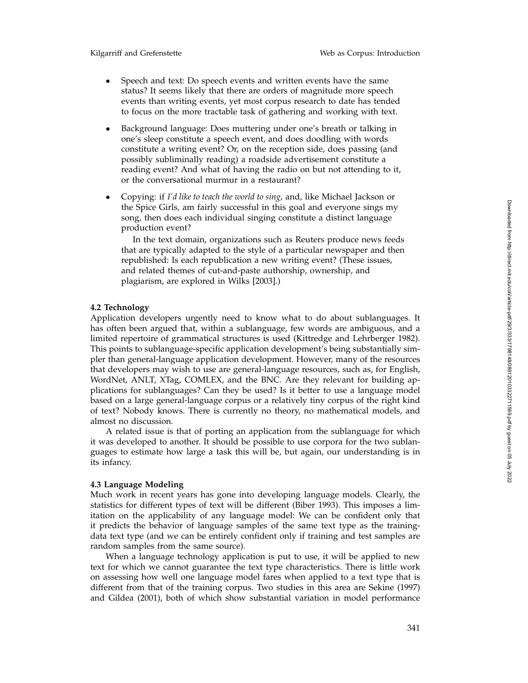- Speech and text: Do speech events and written events have the same status? It seems likely that there are orders of magnitude more speech events than writing events, yet most corpus research to date has tended to focus on the more tractable task of gathering and working with text.
- Background language: Does muttering under one's breath or talking in one's sleep constitute a speech event, and does doodling with words constitute a writing event? Or, on the reception side, does passing (and possibly subliminally reading) a roadside advertisement constitute a reading event? And what of having the radio on but not attending to it, or the conversational murmur in a restaurant?
- Copying: if *I'd like to teach the world to sing*, and, like Michael Jackson or the Spice Girls, am fairly successful in this goal and everyone sings my song, then does each individual singing constitute a distinct language production event?

In the text domain, organizations such as Reuters produce news feeds that are typically adapted to the style of a particular newspaper and then republished: Is each republication a new writing event? (These issues, and related themes of cut-and-paste authorship, ownership, and plagiarism, are explored in Wilks [2003].)

#### **4.2 Technology**

Application developers urgently need to know what to do about sublanguages. It has often been argued that, within a sublanguage, few words are ambiguous, and a limited repertoire of grammatical structures is used (Kittredge and Lehrberger 1982). This points to sublanguage-specific application development's being substantially simpler than general-language application development. However, many of the resources that developers may wish to use are general-language resources, such as, for English, WordNet, ANLT, XTag, COMLEX, and the BNC. Are they relevant for building applications for sublanguages? Can they be used? Is it better to use a language model based on a large general-language corpus or a relatively tiny corpus of the right kind of text? Nobody knows. There is currently no theory, no mathematical models, and almost no discussion.

A related issue is that of porting an application from the sublanguage for which it was developed to another. It should be possible to use corpora for the two sublanguages to estimate how large a task this will be, but again, our understanding is in its infancy.

# **4.3 Language Modeling**

Much work in recent years has gone into developing language models. Clearly, the statistics for different types of text will be different (Biber 1993). This imposes a limitation on the applicability of any language model: We can be confident only that it predicts the behavior of language samples of the same text type as the trainingdata text type (and we can be entirely confident only if training and test samples are random samples from the same source).

When a language technology application is put to use, it will be applied to new text for which we cannot guarantee the text type characteristics. There is little work on assessing how well one language model fares when applied to a text type that is different from that of the training corpus. Two studies in this area are Sekine (1997) and Gildea (2001), both of which show substantial variation in model performance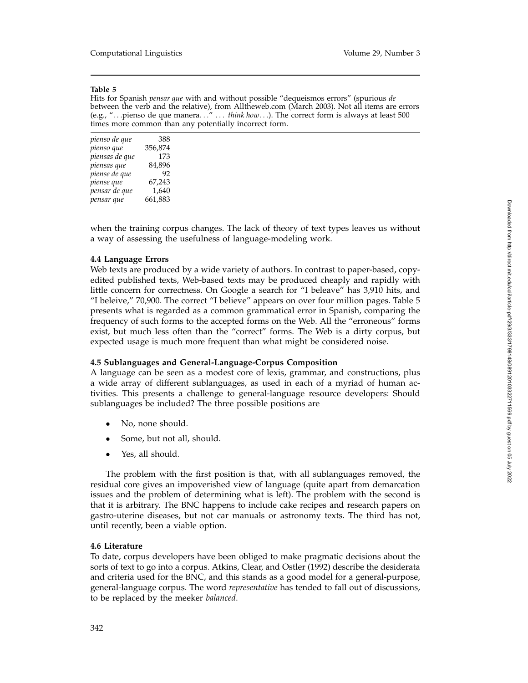#### **Table 5**

Hits for Spanish *pensar que* with and without possible "dequeismos errors" (spurious *de* between the verb and the relative), from Alltheweb.com (March 2003). Not all items are errors (e.g., "...pienso de que manera... " ... *think how*...). The correct form is always at least 500 times more common than any potentially incorrect form.

| pienso de que  | 388     |
|----------------|---------|
| pienso que     | 356,874 |
| piensas de que | 173     |
| piensas que    | 84,896  |
| piense de que  | 92      |
| piense que     | 67,243  |
| pensar de que  | 1,640   |
| pensar que     | 661,883 |

when the training corpus changes. The lack of theory of text types leaves us without a way of assessing the usefulness of language-modeling work.

# **4.4 Language Errors**

Web texts are produced by a wide variety of authors. In contrast to paper-based, copyedited published texts, Web-based texts may be produced cheaply and rapidly with little concern for correctness. On Google a search for "I beleave" has 3,910 hits, and "I beleive," 70,900. The correct "I believe" appears on over four million pages. Table 5 presents what is regarded as a common grammatical error in Spanish, comparing the frequency of such forms to the accepted forms on the Web. All the "erroneous" forms exist, but much less often than the "correct" forms. The Web is a dirty corpus, but expected usage is much more frequent than what might be considered noise.

# **4.5 Sublanguages and General-Language-Corpus Composition**

A language can be seen as a modest core of lexis, grammar, and constructions, plus a wide array of different sublanguages, as used in each of a myriad of human activities. This presents a challenge to general-language resource developers: Should sublanguages be included? The three possible positions are

- No, none should.
- Some, but not all, should.
- Yes, all should.

The problem with the first position is that, with all sublanguages removed, the residual core gives an impoverished view of language (quite apart from demarcation issues and the problem of determining what is left). The problem with the second is that it is arbitrary. The BNC happens to include cake recipes and research papers on gastro-uterine diseases, but not car manuals or astronomy texts. The third has not, until recently, been a viable option.

# **4.6 Literature**

To date, corpus developers have been obliged to make pragmatic decisions about the sorts of text to go into a corpus. Atkins, Clear, and Ostler (1992) describe the desiderata and criteria used for the BNC, and this stands as a good model for a general-purpose, general-language corpus. The word *representative* has tended to fall out of discussions, to be replaced by the meeker *balanced* .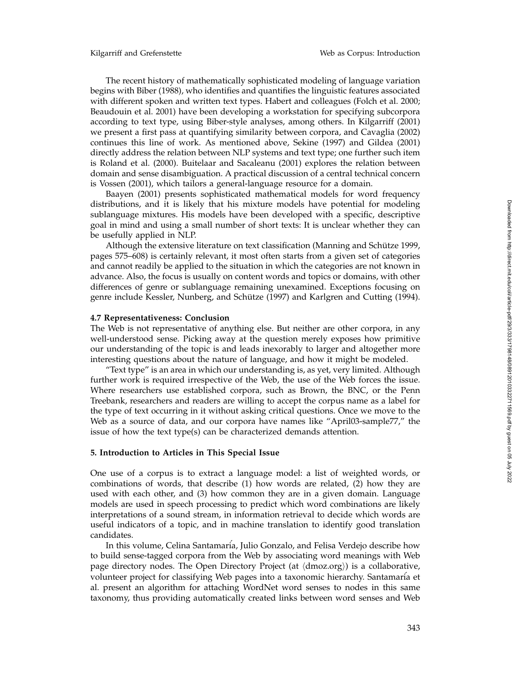The recent history of mathematically sophisticated modeling of language variation begins with Biber (1988), who identifies and quantifies the linguistic features associated with different spoken and written text types. Habert and colleagues (Folch et al. 2000; Beaudouin et al. 2001) have been developing a workstation for specifying subcorpora according to text type, using Biber-style analyses, among others. In Kilgarriff (2001) we present a first pass at quantifying similarity between corpora, and Cavaglia (2002) continues this line of work. As mentioned above, Sekine (1997) and Gildea (2001) directly address the relation between NLP systems and text type; one further such item is Roland et al. (2000). Buitelaar and Sacaleanu (2001) explores the relation between domain and sense disambiguation. A practical discussion of a central technical concern is Vossen (2001), which tailors a general-language resource for a domain.

Baayen (2001) presents sophisticated mathematical models for word frequency distributions, and it is likely that his mixture models have potential for modeling sublanguage mixtures. His models have been developed with a specific, descriptive goal in mind and using a small number of short texts: It is unclear whether they can be usefully applied in NLP.

Although the extensive literature on text classification (Manning and Schütze 1999, pages 575–608) is certainly relevant, it most often starts from a given set of categories and cannot readily be applied to the situation in which the categories are not known in advance. Also, the focus is usually on content words and topics or domains, with other differences of genre or sublanguage remaining unexamined. Exceptions focusing on genre include Kessler, Nunberg, and Schütze (1997) and Karlgren and Cutting (1994).

## **4.7 Representativeness: Conclusion**

The Web is not representative of anything else. But neither are other corpora, in any well-understood sense. Picking away at the question merely exposes how primitive our understanding of the topic is and leads inexorably to larger and altogether more interesting questions about the nature of language, and how it might be modeled.

"Text type" is an area in which our understanding is, as yet, very limited. Although further work is required irrespective of the Web, the use of the Web forces the issue. Where researchers use established corpora, such as Brown, the BNC, or the Penn Treebank, researchers and readers are willing to accept the corpus name as a label for the type of text occurring in it without asking critical questions. Once we move to the Web as a source of data, and our corpora have names like "April03-sample77," the issue of how the text type(s) can be characterized demands attention.

# **5. Introduction to Articles in This Special Issue**

One use of a corpus is to extract a language model: a list of weighted words, or combinations of words, that describe (1) how words are related, (2) how they are used with each other, and (3) how common they are in a given domain. Language models are used in speech processing to predict which word combinations are likely interpretations of a sound stream, in information retrieval to decide which words are useful indicators of a topic, and in machine translation to identify good translation candidates.

In this volume, Celina Santamaría, Julio Gonzalo, and Felisa Verdejo describe how to build sense-tagged corpora from the Web by associating word meanings with Web page directory nodes. The Open Directory Project (at dmoz.org ) is a collaborative, volunteer project for classifying Web pages into a taxonomic hierarchy. Santamaría et al. present an algorithm for attaching WordNet word senses to nodes in this same taxonomy, thus providing automatically created links between word senses and Web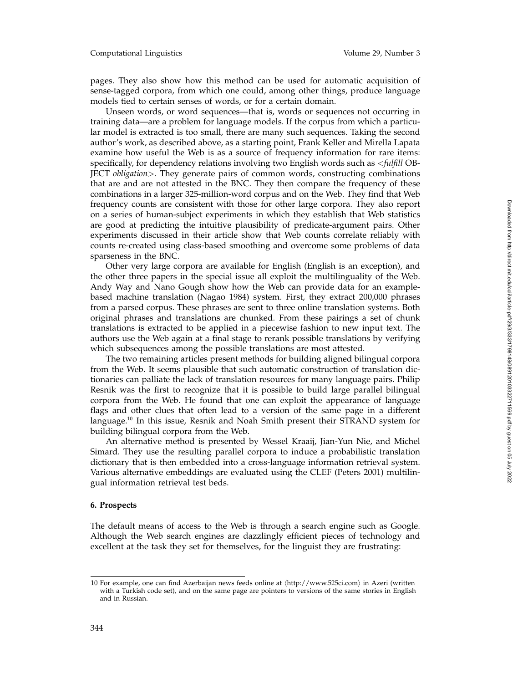pages. They also show how this method can be used for automatic acquisition of sense-tagged corpora, from which one could, among other things, produce language models tied to certain senses of words, or for a certain domain.

Unseen words, or word sequences—that is, words or sequences not occurring in training data—are a problem for language models. If the corpus from which a particular model is extracted is too small, there are many such sequences. Taking the second author's work, as described above, as a starting point, Frank Keller and Mirella Lapata examine how useful the Web is as a source of frequency information for rare items: specifically, for dependency relations involving two English words such as <*fulfill* OB-JECT *obligation*>. They generate pairs of common words, constructing combinations that are and are not attested in the BNC. They then compare the frequency of these combinations in a larger 325-million-word corpus and on the Web. They find that Web frequency counts are consistent with those for other large corpora. They also report on a series of human-subject experiments in which they establish that Web statistics are good at predicting the intuitive plausibility of predicate-argument pairs. Other experiments discussed in their article show that Web counts correlate reliably with counts re-created using class-based smoothing and overcome some problems of data sparseness in the BNC.

Other very large corpora are available for English (English is an exception), and the other three papers in the special issue all exploit the multilinguality of the Web. Andy Way and Nano Gough show how the Web can provide data for an examplebased machine translation (Nagao 1984) system. First, they extract 200,000 phrases from a parsed corpus. These phrases are sent to three online translation systems. Both original phrases and translations are chunked. From these pairings a set of chunk translations is extracted to be applied in a piecewise fashion to new input text. The authors use the Web again at a final stage to rerank possible translations by verifying which subsequences among the possible translations are most attested.

The two remaining articles present methods for building aligned bilingual corpora from the Web. It seems plausible that such automatic construction of translation dictionaries can palliate the lack of translation resources for many language pairs. Philip Resnik was the first to recognize that it is possible to build large parallel bilingual corpora from the Web. He found that one can exploit the appearance of language flags and other clues that often lead to a version of the same page in a different language.<sup>10</sup> In this issue, Resnik and Noah Smith present their STRAND system for building bilingual corpora from the Web.

An alternative method is presented by Wessel Kraaij, Jian-Yun Nie, and Michel Simard. They use the resulting parallel corpora to induce a probabilistic translation dictionary that is then embedded into a cross-language information retrieval system. Various alternative embeddings are evaluated using the CLEF (Peters 2001) multilingual information retrieval test beds.

#### **6. Prospects**

The default means of access to the Web is through a search engine such as Google. Although the Web search engines are dazzlingly efficient pieces of technology and excellent at the task they set for themselves, for the linguist they are frustrating:

<sup>10</sup> For example, one can find Azerbaijan news feeds online at  $\langle http://www.525ci.com\rangle$  in Azeri (written with a Turkish code set), and on the same page are pointers to versions of the same stories in English and in Russian.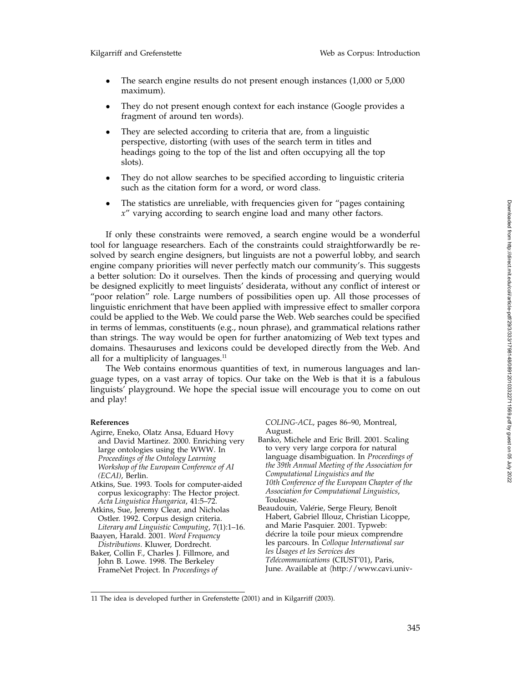- The search engine results do not present enough instances (1,000 or 5,000) maximum).
- They do not present enough context for each instance (Google provides a fragment of around ten words).
- They are selected according to criteria that are, from a linguistic perspective, distorting (with uses of the search term in titles and headings going to the top of the list and often occupying all the top slots).
- They do not allow searches to be specified according to linguistic criteria such as the citation form for a word, or word class.
- The statistics are unreliable, with frequencies given for "pages containing *<sup>x</sup>*" varying according to search engine load and many other factors.

If only these constraints were removed, a search engine would be a wonderful tool for language researchers. Each of the constraints could straightforwardly be resolved by search engine designers, but linguists are not a powerful lobby, and search engine company priorities will never perfectly match our community's. This suggests a better solution: Do it ourselves. Then the kinds of processing and querying would be designed explicitly to meet linguists' desiderata, without any conflict of interest or "poor relation" role. Large numbers of possibilities open up. All those processes of linguistic enrichment that have been applied with impressive effect to smaller corpora could be applied to the Web. We could parse the Web. Web searches could be specified in terms of lemmas, constituents (e.g., noun phrase), and grammatical relations rather than strings. The way would be open for further anatomizing of Web text types and domains. Thesauruses and lexicons could be developed directly from the Web. And all for a multiplicity of languages. $11$ 

The Web contains enormous quantities of text, in numerous languages and language types, on a vast array of topics. Our take on the Web is that it is a fabulous linguists' playground. We hope the special issue will encourage you to come on out and play!

#### **References**

- Agirre, Eneko, Olatz Ansa, Eduard Hovy and David Martinez. 2000. Enriching very large ontologies using the WWW. In *Proceedings of the Ontology Learning Workshop of the European Conference of AI (ECAI)*, Berlin.
- Atkins, Sue. 1993. Tools for computer-aided corpus lexicography: The Hector project. *Acta Linguistica Hungarica*, 41:5–72.
- Atkins, Sue, Jeremy Clear, and Nicholas Ostler. 1992. Corpus design criteria. *Literary and Linguistic Computing*, 7(1):1–16.
- Baayen, Harald. 2001. *Word Frequency Distributions*. Kluwer, Dordrecht.
- Baker, Collin F., Charles J. Fillmore, and John B. Lowe. 1998. The Berkeley FrameNet Project. In *Proceedings of*

*COLING-ACL*, pages 86–90, Montreal, August.

- Banko, Michele and Eric Brill. 2001. Scaling to very very large corpora for natural language disambiguation. In *Proceedings of the 39th Annual Meeting of the Association for Computational Linguistics and the 10th Conference of the European Chapter of the Association for Computational Linguistics* , Toulouse.
- Beaudouin, Valérie, Serge Fleury, Benoît Habert, Gabriel Illouz, Christian Licoppe, and Marie Pasquier. 2001. Typweb: décrire la toile pour mieux comprendre les parcours. In *Colloque International sur les Usages et les Services des T ´el ´ecommunications* (CIUST'01), Paris, June. Available at  $\langle$ http://www.cavi.univ-

<sup>11</sup> The idea is developed further in Grefenstette (2001) and in Kilgarriff (2003).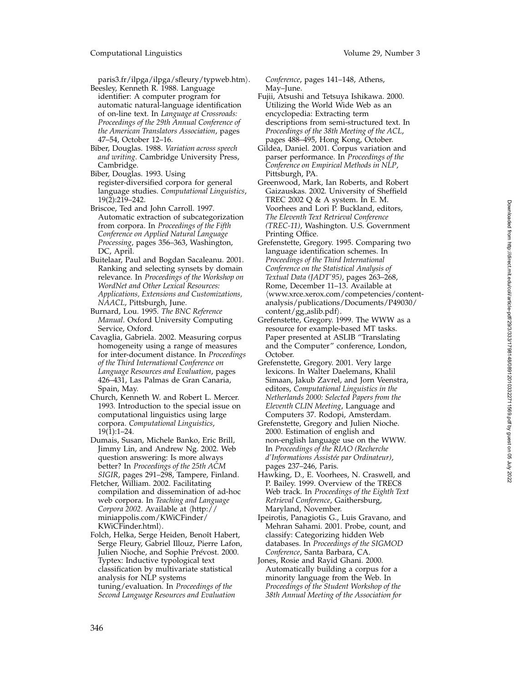paris3.fr/ilpga/ilpga/sfleury/typweb.htm).

- Beesley, Kenneth R. 1988. Language identifier: A computer program for automatic natural-language identification of on-line text. In *Language at Crossroads: Proceedings of the 29th Annual Conference of the American Translators Association*, pages 47–54, October 12–16.
- Biber, Douglas. 1988. *Variation across speech and writing*. Cambridge University Press, Cambridge.
- Biber, Douglas. 1993. Using register-diversified corpora for general language studies. *Computational Linguistics*, 19(2):219–242.
- Briscoe, Ted and John Carroll. 1997. Automatic extraction of subcategorization from corpora. In *Proceedings of the Fifth Conference on Applied Natural Language Processing*, pages 356–363, Washington, DC, April.
- Buitelaar, Paul and Bogdan Sacaleanu. 2001. Ranking and selecting synsets by domain relevance. In *Proceedings of the Workshop on WordNet and Other Lexical Resources: Applications, Extensions and Customizations, NAACL*, Pittsburgh, June.
- Burnard, Lou. 1995. *The BNC Reference Manual*. Oxford University Computing Service, Oxford.
- Cavaglia, Gabriela. 2002. Measuring corpus homogeneity using a range of measures for inter-document distance. In *Proceedings of the Third International Conference on Language Resources and Evaluation*, pages 426–431, Las Palmas de Gran Canaria, Spain, May.
- Church, Kenneth W. and Robert L. Mercer. 1993. Introduction to the special issue on computational linguistics using large corpora. *Computational Linguistics*, 19(1):1–24.
- Dumais, Susan, Michele Banko, Eric Brill, Jimmy Lin, and Andrew Ng. 2002. Web question answering: Is more always better? In *Proceedings of the 25th ACM SIGIR*, pages 291–298, Tampere, Finland.
- Fletcher, William. 2002. Facilitating compilation and dissemination of ad-hoc web corpora. In *Teaching and Language Corpora 2002.* Available at  $\langle$ http:// miniappolis.com/KWiCFinder/ KWiCFinder.html).<br>.
- Folch, Helka, Serge Heiden, Benoît Habert, Serge Fleury, Gabriel Illouz, Pierre Lafon, Julien Nioche, and Sophie Prévost. 2000. Typtex: Inductive typological text classification by multivariate statistical analysis for NLP systems tuning/evaluation. In *Proceedings of the Second Language Resources and Evaluation*

*Conference*, pages 141–148, Athens, May–June.

- Fujii, Atsushi and Tetsuya Ishikawa. 2000. Utilizing the World Wide Web as an encyclopedia: Extracting term descriptions from semi-structured text. In *Proceedings of the 38th Meeting of the ACL*, pages 488–495, Hong Kong, October.
- Gildea, Daniel. 2001. Corpus variation and parser performance. In *Proceedings of the Conference on Empirical Methods in NLP*, Pittsburgh, PA.
- Greenwood, Mark, Ian Roberts, and Robert Gaizauskas. 2002. University of Sheffield TREC 2002 Q & A system. In E. M. Voorhees and Lori P. Buckland, editors, *The Eleventh Text Retrieval Conference (TREC-11)*, Washington. U.S. Government Printing Office.
- Grefenstette, Gregory. 1995. Comparing two language identification schemes. In *Proceedings of the Third International Conference on the Statistical Analysis of Textual Data (JADT'95)*, pages 263–268, Rome, December 11–13. Available at www.xrce.xerox.com/competencies/contentanalysis/publications/Documents/P49030/ content/gg\_aslib.pdf).
- Grefenstette, Gregory. 1999. The WWW as a resource for example-based MT tasks. Paper presented at ASLIB "Translating and the Computer" conference, London, October.
- Grefenstette, Gregory. 2001. Very large lexicons. In Walter Daelemans, Khalil Simaan, Jakub Zavrel, and Jorn Veenstra, editors, *Computational Linguistics in the Netherlands 2000: Selected Papers from the Eleventh CLIN Meeting*, Language and Computers 37. Rodopi, Amsterdam.
- Grefenstette, Gregory and Julien Nioche. 2000. Estimation of english and non-english language use on the WWW. In *Proceedings of the RIAO (Recherche d'Informations Assistée par Ordinateur*), pages 237–246, Paris.
- Hawking, D., E. Voorhees, N. Craswell, and P. Bailey. 1999. Overview of the TREC8 Web track. In *Proceedings of the Eighth Text Retrieval Conference*, Gaithersburg, Maryland, November.
- Ipeirotis, Panagiotis G., Luis Gravano, and Mehran Sahami. 2001. Probe, count, and classify: Categorizing hidden Web databases. In *Proceedings of the SIGMOD Conference*, Santa Barbara, CA.
- Jones, Rosie and Rayid Ghani. 2000. Automatically building a corpus for a minority language from the Web. In *Proceedings of the Student Workshop of the 38th Annual Meeting of the Association for*